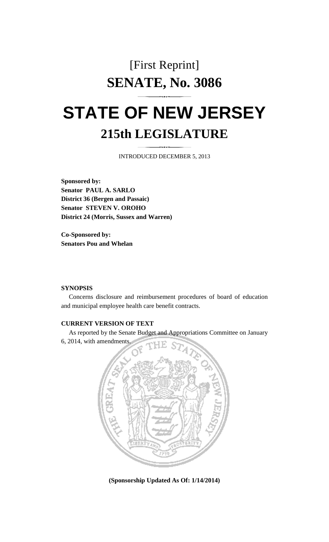## [First Reprint] **SENATE, No. 3086**

# **STATE OF NEW JERSEY 215th LEGISLATURE**

INTRODUCED DECEMBER 5, 2013

**Sponsored by: Senator PAUL A. SARLO District 36 (Bergen and Passaic) Senator STEVEN V. OROHO District 24 (Morris, Sussex and Warren)** 

**Co-Sponsored by: Senators Pou and Whelan** 

#### **SYNOPSIS**

 Concerns disclosure and reimbursement procedures of board of education and municipal employee health care benefit contracts.

### **CURRENT VERSION OF TEXT**

 As reported by the Senate Budget and Appropriations Committee on January 6, 2014, with amendments.



**(Sponsorship Updated As Of: 1/14/2014)**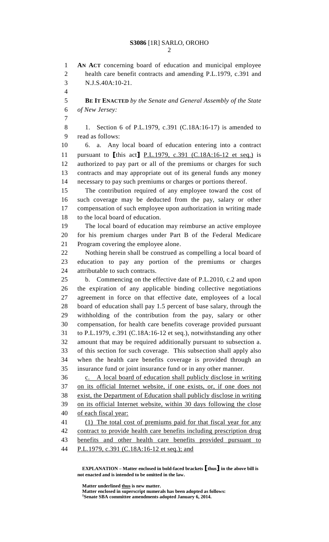1 **AN ACT** concerning board of education and municipal employee 2 health care benefit contracts and amending P.L.1979, c.391 and 3 N.J.S.40A:10-21. 4

5 **BE IT ENACTED** *by the Senate and General Assembly of the State*  6 *of New Jersey:*

7

8 1. Section 6 of P.L.1979, c.391 (C.18A:16-17) is amended to 9 read as follows:

10 6. a. Any local board of education entering into a contract 11 pursuant to [this act] P.L.1979, c.391 (C.18A:16-12 et seq.) is 12 authorized to pay part or all of the premiums or charges for such 13 contracts and may appropriate out of its general funds any money 14 necessary to pay such premiums or charges or portions thereof.

15 The contribution required of any employee toward the cost of 16 such coverage may be deducted from the pay, salary or other 17 compensation of such employee upon authorization in writing made 18 to the local board of education.

19 The local board of education may reimburse an active employee 20 for his premium charges under Part B of the Federal Medicare 21 Program covering the employee alone.

22 Nothing herein shall be construed as compelling a local board of 23 education to pay any portion of the premiums or charges 24 attributable to such contracts.

25 b. Commencing on the effective date of P.L.2010, c.2 and upon 26 the expiration of any applicable binding collective negotiations 27 agreement in force on that effective date, employees of a local 28 board of education shall pay 1.5 percent of base salary, through the 29 withholding of the contribution from the pay, salary or other 30 compensation, for health care benefits coverage provided pursuant 31 to P.L.1979, c.391 (C.18A:16-12 et seq.), notwithstanding any other 32 amount that may be required additionally pursuant to subsection a. 33 of this section for such coverage. This subsection shall apply also 34 when the health care benefits coverage is provided through an 35 insurance fund or joint insurance fund or in any other manner.

36 c. A local board of education shall publicly disclose in writing 37 on its official Internet website, if one exists, or, if one does not 38 exist, the Department of Education shall publicly disclose in writing 39 on its official Internet website, within 30 days following the close 40 of each fiscal year:

41 (1) The total cost of premiums paid for that fiscal year for any 42 contract to provide health care benefits including prescription drug 43 benefits and other health care benefits provided pursuant to

44 P.L.1979, c.391 (C.18A:16-12 et seq.); and

 **EXPLANATION – Matter enclosed in bold-faced brackets** [**thus**] **in the above bill is not enacted and is intended to be omitted in the law.** 

 **Matter underlined thus is new matter.** 

 **Matter enclosed in superscript numerals has been adopted as follows: 1 Senate SBA committee amendments adopted January 6, 2014.**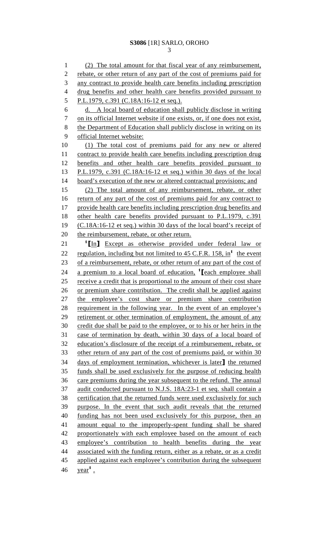1 (2) The total amount for that fiscal year of any reimbursement, 2 rebate, or other return of any part of the cost of premiums paid for 3 any contract to provide health care benefits including prescription 4 drug benefits and other health care benefits provided pursuant to 5 P.L.1979, c.391 (C.18A:16-12 et seq.). 6 d. A local board of education shall publicly disclose in writing 7 on its official Internet website if one exists, or, if one does not exist, 8 the Department of Education shall publicly disclose in writing on its 9 official Internet website: 10 (1) The total cost of premiums paid for any new or altered 11 contract to provide health care benefits including prescription drug 12 benefits and other health care benefits provided pursuant to 13 P.L.1979, c.391 (C.18A:16-12 et seq.) within 30 days of the local 14 board's execution of the new or altered contractual provisions; and 15 (2) The total amount of any reimbursement, rebate, or other 16 return of any part of the cost of premiums paid for any contract to 17 provide health care benefits including prescription drug benefits and 18 other health care benefits provided pursuant to P.L.1979, c.391 19 (C.18A:16-12 et seq.) within 30 days of the local board's receipt of 20 the reimbursement, rebate, or other return.  $1$   $\boxed{\text{In}}$  Except as otherwise provided under federal law or 22 regulation, including but not limited to  $45$  C.F.R. 158, in<sup>1</sup> the event 23 of a reimbursement, rebate, or other return of any part of the cost of 24 a premium to a local board of education,  $\frac{1}{2}$  [each employee shall] 25 receive a credit that is proportional to the amount of their cost share 26 or premium share contribution. The credit shall be applied against 27 the employee's cost share or premium share contribution 28 requirement in the following year. In the event of an employee's 29 retirement or other termination of employment, the amount of any 30 credit due shall be paid to the employee, or to his or her heirs in the 31 case of termination by death, within 30 days of a local board of 32 education's disclosure of the receipt of a reimbursement, rebate, or 33 other return of any part of the cost of premiums paid, or within 30 34 days of employment termination, whichever is later] the returned 35 funds shall be used exclusively for the purpose of reducing health 36 care premiums during the year subsequent to the refund. The annual 37 audit conducted pursuant to N.J.S. 18A:23-1 et seq. shall contain a 38 certification that the returned funds were used exclusively for such 39 purpose. In the event that such audit reveals that the returned 40 funding has not been used exclusively for this purpose, then an 41 amount equal to the improperly-spent funding shall be shared 42 proportionately with each employee based on the amount of each 43 employee's contribution to health benefits during the year 44 associated with the funding return, either as a rebate, or as a credit 45 applied against each employee's contribution during the subsequent  $46 \quad \text{year}^1$ .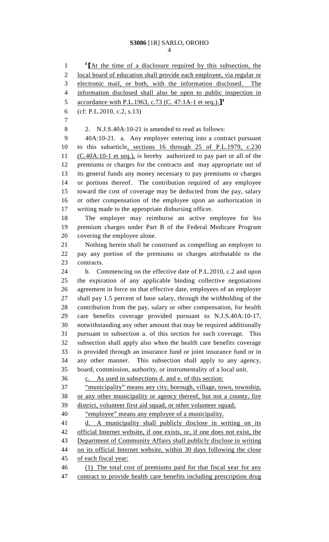4

1 <sup>1</sup> [At the time of a disclosure required by this subsection, the 2 local board of education shall provide each employee, via regular or 3 electronic mail, or both, with the information disclosed. The 4 information disclosed shall also be open to public inspection in 5 accordance with P.L.1963, c.73 (C. 47:1A-1 et seq.).<sup>[1</sup>] 6 (cf: P.L.2010, c.2, s.13) 7 8 2. N.J.S.40A:10-21 is amended to read as follows: 9 40A:10-21. a. Any employer entering into a contract pursuant 10 to this subarticle, sections 16 through 25 of P.L.1979, c.230 11 (C.40A:10-1 et seq.), is hereby authorized to pay part or all of the 12 premiums or charges for the contracts and may appropriate out of 13 its general funds any money necessary to pay premiums or charges 14 or portions thereof. The contribution required of any employee 15 toward the cost of coverage may be deducted from the pay, salary 16 or other compensation of the employee upon an authorization in 17 writing made to the appropriate disbursing officer. 18 The employer may reimburse an active employee for his 19 premium charges under Part B of the Federal Medicare Program 20 covering the employee alone. 21 Nothing herein shall be construed as compelling an employer to 22 pay any portion of the premiums or charges attributable to the 23 contracts. 24 b. Commencing on the effective date of P.L.2010, c.2 and upon 25 the expiration of any applicable binding collective negotiations 26 agreement in force on that effective date, employees of an employer 27 shall pay 1.5 percent of base salary, through the withholding of the 28 contribution from the pay, salary or other compensation, for health 29 care benefits coverage provided pursuant to N.J.S.40A:10-17, 30 notwithstanding any other amount that may be required additionally 31 pursuant to subsection a. of this section for such coverage. This 32 subsection shall apply also when the health care benefits coverage 33 is provided through an insurance fund or joint insurance fund or in 34 any other manner. This subsection shall apply to any agency, 35 board, commission, authority, or instrumentality of a local unit. 36 c. As used in subsections d. and e. of this section: 37 "municipality" means any city, borough, village, town, township, 38 or any other municipality or agency thereof, but not a county, fire 39 district, volunteer first aid squad, or other volunteer squad; 40 "employee" means any employee of a municipality. 41 d. A municipality shall publicly disclose in writing on its 42 official Internet website, if one exists, or, if one does not exist, the 43 Department of Community Affairs shall publicly disclose in writing 44 on its official Internet website, within 30 days following the close 45 of each fiscal year: 46 (1) The total cost of premiums paid for that fiscal year for any 47 contract to provide health care benefits including prescription drug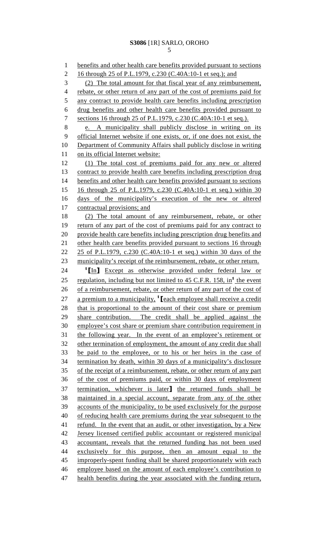1 benefits and other health care benefits provided pursuant to sections 2 16 through 25 of P.L.1979, c.230 (C.40A:10-1 et seq.); and 3 (2) The total amount for that fiscal year of any reimbursement, 4 rebate, or other return of any part of the cost of premiums paid for 5 any contract to provide health care benefits including prescription 6 drug benefits and other health care benefits provided pursuant to 7 sections 16 through 25 of P.L.1979, c.230 (C.40A:10-1 et seq.). 8 e. A municipality shall publicly disclose in writing on its 9 official Internet website if one exists, or, if one does not exist, the 10 Department of Community Affairs shall publicly disclose in writing 11 on its official Internet website: 12 (1) The total cost of premiums paid for any new or altered 13 contract to provide health care benefits including prescription drug 14 benefits and other health care benefits provided pursuant to sections 15 16 through 25 of P.L.1979, c.230 (C.40A:10-1 et seq.) within 30 16 days of the municipality's execution of the new or altered 17 contractual provisions; and 18 (2) The total amount of any reimbursement, rebate, or other 19 return of any part of the cost of premiums paid for any contract to 20 provide health care benefits including prescription drug benefits and 21 other health care benefits provided pursuant to sections 16 through 22 25 of P.L.1979, c.230 (C.40A:10-1 et seq.) within 30 days of the 23 municipality's receipt of the reimbursement, rebate, or other return. 24 <sup>1</sup>[In] Except as otherwise provided under federal law or 25 regulation, including but not limited to  $45$  C.F.R. 158, in<sup>1</sup> the event 26 of a reimbursement, rebate, or other return of any part of the cost of 27 a premium to a municipality,  $^1$  [each employee shall receive a credit 28 that is proportional to the amount of their cost share or premium 29 share contribution. The credit shall be applied against the 30 employee's cost share or premium share contribution requirement in 31 the following year. In the event of an employee's retirement or 32 other termination of employment, the amount of any credit due shall 33 be paid to the employee, or to his or her heirs in the case of 34 termination by death, within 30 days of a municipality's disclosure 35 of the receipt of a reimbursement, rebate, or other return of any part 36 of the cost of premiums paid, or within 30 days of employment 37 termination, whichever is later] the returned funds shall be 38 maintained in a special account, separate from any of the other 39 accounts of the municipality, to be used exclusively for the purpose 40 of reducing health care premiums during the year subsequent to the 41 refund. In the event that an audit, or other investigation, by a New 42 Jersey licensed certified public accountant or registered municipal 43 accountant, reveals that the returned funding has not been used 44 exclusively for this purpose, then an amount equal to the 45 improperly-spent funding shall be shared proportionately with each 46 employee based on the amount of each employee's contribution to 47 health benefits during the year associated with the funding return,